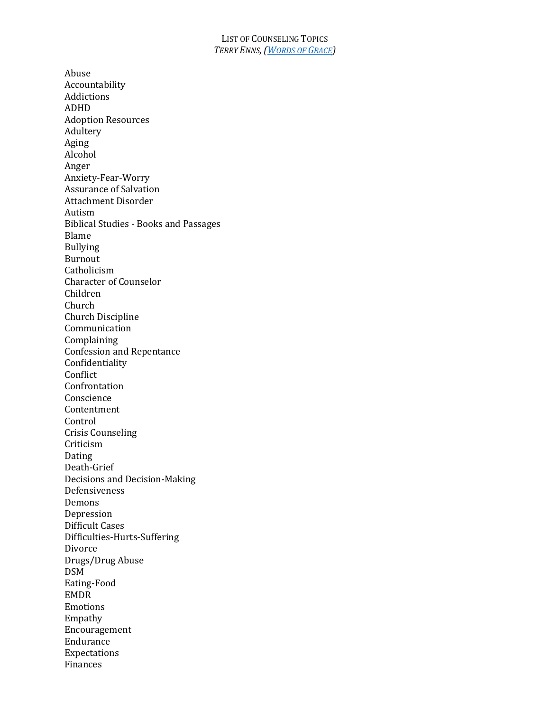## LIST OF COUNSELING TOPICS *TERRY ENNS,(WORDS OF GRACE)*

Abuse Accountability Addictions ADHD Adoption Resources Adultery Aging Alcohol Anger Anxiety-Fear-Worry Assurance of Salvation Attachment Disorder Autism Biblical Studies - Books and Passages Blame Bullying Burnout Catholicism Character of Counselor Children Church Church Discipline Communication Complaining Confession and Repentance Confidentiality Conflict Confrontation Conscience Contentment Control Crisis Counseling Criticism Dating Death-Grief Decisions and Decision-Making Defensiveness Demons Depression Difficult Cases Difficulties-Hurts-Suffering Divorce Drugs/Drug Abuse DSM Eating-Food EMDR Emotions Empathy Encouragement Endurance Expectations Finances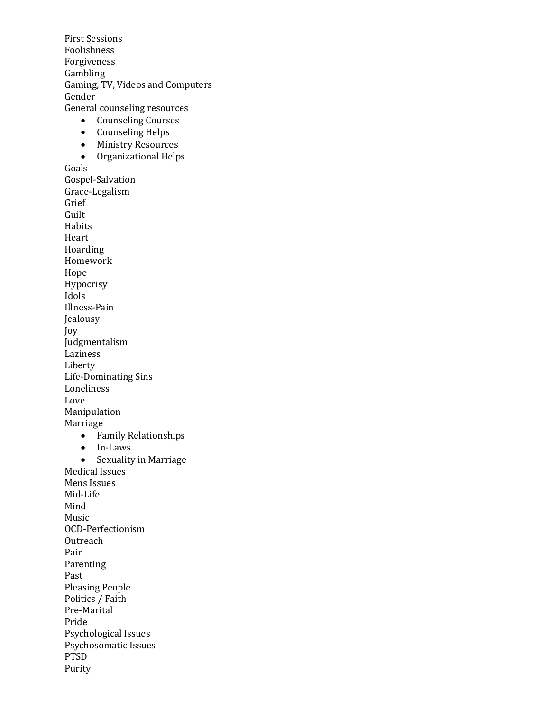**First Sessions** Foolishness Forgiveness Gambling Gaming, TV, Videos and Computers Gender General counseling resources • Counseling Courses • Counseling Helps • Ministry Resources • Organizational Helps Goals Gospel-Salvation Grace-Legalism Grief Guilt Habits Heart Hoarding Homework Hope Hypocrisy Idols Illness-Pain Jealousy Joy Judgmentalism Laziness Liberty Life-Dominating Sins Loneliness Love Manipulation Marriage • Family Relationships • In-Laws • Sexuality in Marriage Medical Issues Mens Issues Mid-Life Mind Music OCD-Perfectionism **Outreach** Pain Parenting Past Pleasing People Politics / Faith Pre-Marital Pride Psychological Issues Psychosomatic Issues PTSD Purity